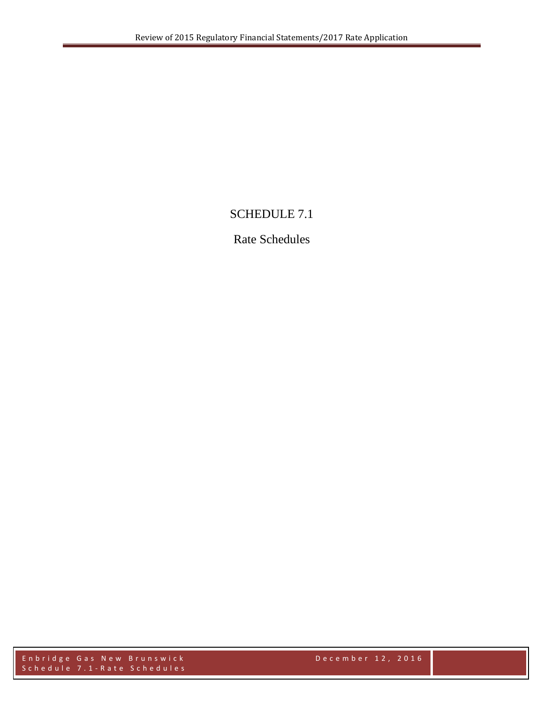## SCHEDULE 7.1

## Rate Schedules

Enbridge Gas New Brunswi ck December 1 2 , 2016 Schedule 7.1 - Rate Schedules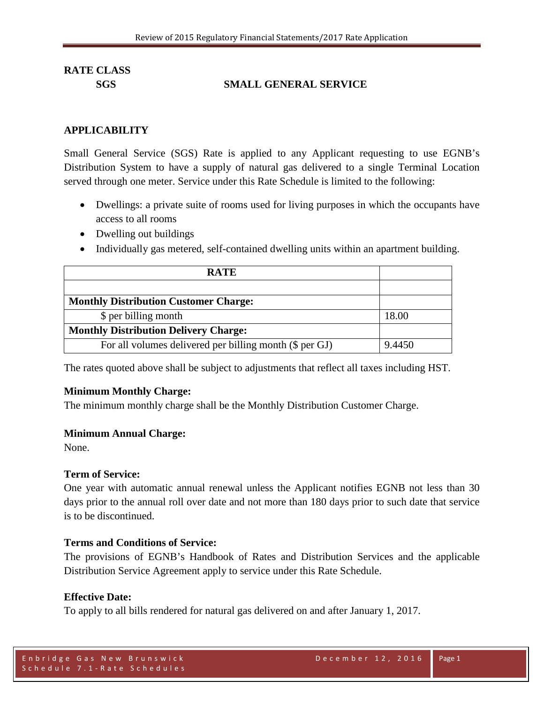## **SGS SMALL GENERAL SERVICE**

#### **APPLICABILITY**

Small General Service (SGS) Rate is applied to any Applicant requesting to use EGNB's Distribution System to have a supply of natural gas delivered to a single Terminal Location served through one meter. Service under this Rate Schedule is limited to the following:

- Dwellings: a private suite of rooms used for living purposes in which the occupants have access to all rooms
- Dwelling out buildings
- Individually gas metered, self-contained dwelling units within an apartment building.

| <b>RATE</b>                                             |        |
|---------------------------------------------------------|--------|
|                                                         |        |
| <b>Monthly Distribution Customer Charge:</b>            |        |
| \$ per billing month                                    | 18.00  |
| <b>Monthly Distribution Delivery Charge:</b>            |        |
| For all volumes delivered per billing month (\$ per GJ) | 9.4450 |

The rates quoted above shall be subject to adjustments that reflect all taxes including HST.

## **Minimum Monthly Charge:**

The minimum monthly charge shall be the Monthly Distribution Customer Charge.

#### **Minimum Annual Charge:**

None.

#### **Term of Service:**

One year with automatic annual renewal unless the Applicant notifies EGNB not less than 30 days prior to the annual roll over date and not more than 180 days prior to such date that service is to be discontinued.

## **Terms and Conditions of Service:**

The provisions of EGNB's Handbook of Rates and Distribution Services and the applicable Distribution Service Agreement apply to service under this Rate Schedule.

## **Effective Date:**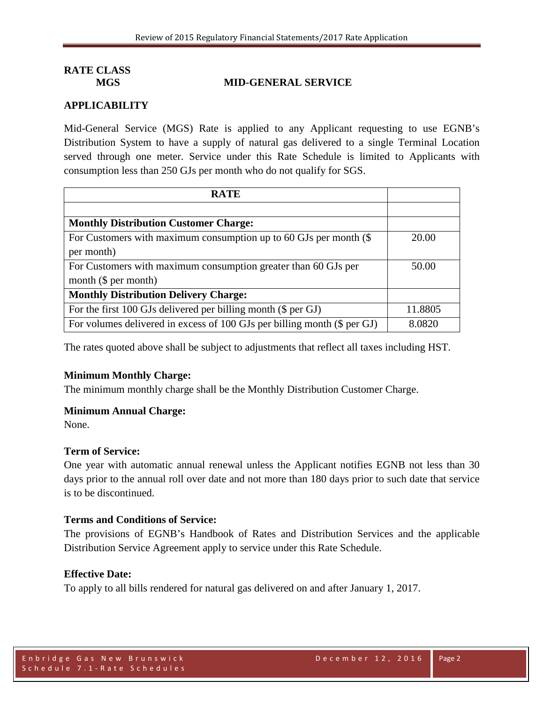## **MGS MID-GENERAL SERVICE**

## **APPLICABILITY**

Mid-General Service (MGS) Rate is applied to any Applicant requesting to use EGNB's Distribution System to have a supply of natural gas delivered to a single Terminal Location served through one meter. Service under this Rate Schedule is limited to Applicants with consumption less than 250 GJs per month who do not qualify for SGS.

| <b>RATE</b>                                                              |         |
|--------------------------------------------------------------------------|---------|
|                                                                          |         |
| <b>Monthly Distribution Customer Charge:</b>                             |         |
| For Customers with maximum consumption up to 60 GJs per month $(\$$      | 20.00   |
| per month)                                                               |         |
| For Customers with maximum consumption greater than 60 GJs per           | 50.00   |
| month $(\$$ per month)                                                   |         |
| <b>Monthly Distribution Delivery Charge:</b>                             |         |
| For the first 100 GJs delivered per billing month (\$ per GJ)            | 11.8805 |
| For volumes delivered in excess of 100 GJs per billing month (\$ per GJ) | 8.0820  |

The rates quoted above shall be subject to adjustments that reflect all taxes including HST.

## **Minimum Monthly Charge:**

The minimum monthly charge shall be the Monthly Distribution Customer Charge.

#### **Minimum Annual Charge:**

None.

#### **Term of Service:**

One year with automatic annual renewal unless the Applicant notifies EGNB not less than 30 days prior to the annual roll over date and not more than 180 days prior to such date that service is to be discontinued.

#### **Terms and Conditions of Service:**

The provisions of EGNB's Handbook of Rates and Distribution Services and the applicable Distribution Service Agreement apply to service under this Rate Schedule.

#### **Effective Date:**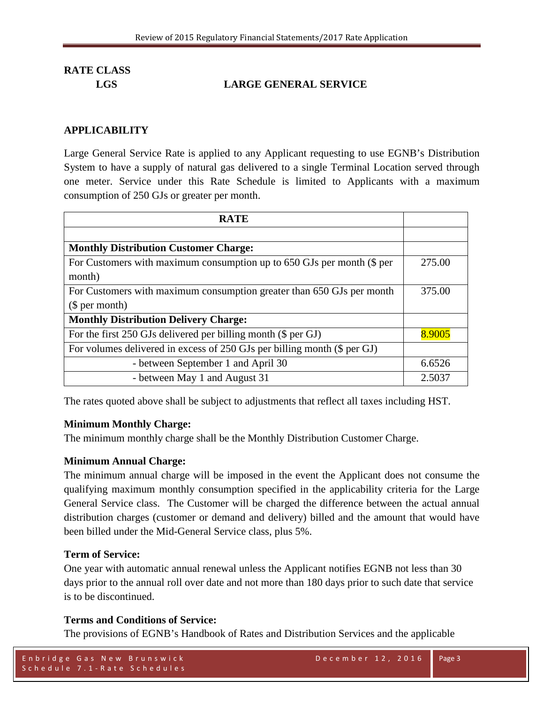## **LGS LARGE GENERAL SERVICE**

## **APPLICABILITY**

Large General Service Rate is applied to any Applicant requesting to use EGNB's Distribution System to have a supply of natural gas delivered to a single Terminal Location served through one meter. Service under this Rate Schedule is limited to Applicants with a maximum consumption of 250 GJs or greater per month.

| <b>RATE</b>                                                              |        |
|--------------------------------------------------------------------------|--------|
|                                                                          |        |
| <b>Monthly Distribution Customer Charge:</b>                             |        |
| For Customers with maximum consumption up to 650 GJs per month (\$ per   | 275.00 |
| month)                                                                   |        |
| For Customers with maximum consumption greater than 650 GJs per month    | 375.00 |
| \$per month)                                                             |        |
| <b>Monthly Distribution Delivery Charge:</b>                             |        |
| For the first 250 GJs delivered per billing month (\$ per GJ)            | 8.9005 |
| For volumes delivered in excess of 250 GJs per billing month (\$ per GJ) |        |
| - between September 1 and April 30                                       | 6.6526 |
| - between May 1 and August 31                                            | 2.5037 |

The rates quoted above shall be subject to adjustments that reflect all taxes including HST.

## **Minimum Monthly Charge:**

The minimum monthly charge shall be the Monthly Distribution Customer Charge.

## **Minimum Annual Charge:**

The minimum annual charge will be imposed in the event the Applicant does not consume the qualifying maximum monthly consumption specified in the applicability criteria for the Large General Service class. The Customer will be charged the difference between the actual annual distribution charges (customer or demand and delivery) billed and the amount that would have been billed under the Mid-General Service class, plus 5%.

## **Term of Service:**

One year with automatic annual renewal unless the Applicant notifies EGNB not less than 30 days prior to the annual roll over date and not more than 180 days prior to such date that service is to be discontinued.

## **Terms and Conditions of Service:**

The provisions of EGNB's Handbook of Rates and Distribution Services and the applicable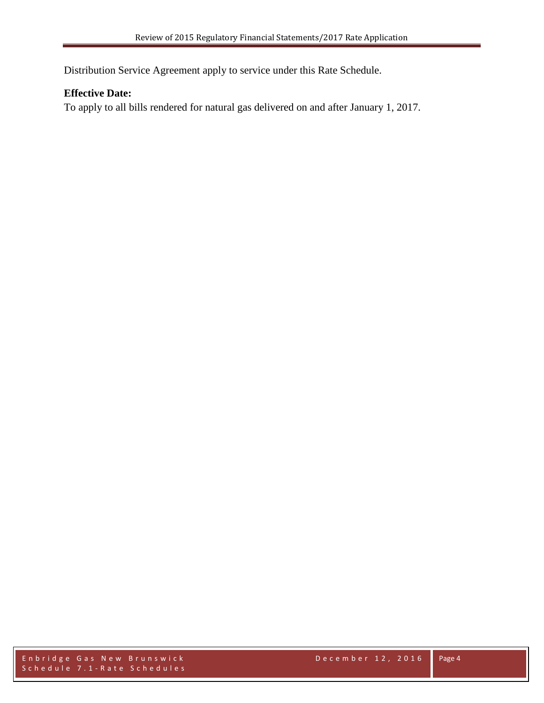Distribution Service Agreement apply to service under this Rate Schedule.

## **Effective Date:**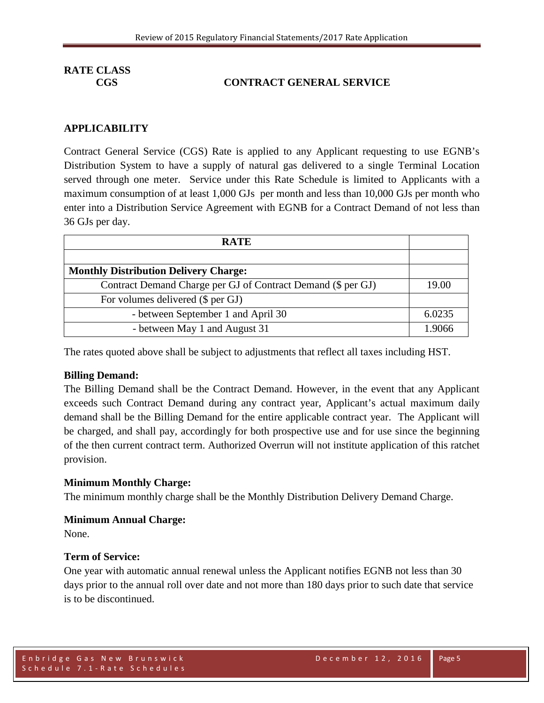## **CGS CONTRACT GENERAL SERVICE**

## **APPLICABILITY**

Contract General Service (CGS) Rate is applied to any Applicant requesting to use EGNB's Distribution System to have a supply of natural gas delivered to a single Terminal Location served through one meter. Service under this Rate Schedule is limited to Applicants with a maximum consumption of at least 1,000 GJs per month and less than 10,000 GJs per month who enter into a Distribution Service Agreement with EGNB for a Contract Demand of not less than 36 GJs per day.

| <b>RATE</b>                                                  |        |
|--------------------------------------------------------------|--------|
|                                                              |        |
| <b>Monthly Distribution Delivery Charge:</b>                 |        |
| Contract Demand Charge per GJ of Contract Demand (\$ per GJ) | 19.00  |
| For volumes delivered (\$ per GJ)                            |        |
| - between September 1 and April 30                           | 6.0235 |
| - between May 1 and August 31                                | 1 9066 |

The rates quoted above shall be subject to adjustments that reflect all taxes including HST.

#### **Billing Demand:**

The Billing Demand shall be the Contract Demand. However, in the event that any Applicant exceeds such Contract Demand during any contract year, Applicant's actual maximum daily demand shall be the Billing Demand for the entire applicable contract year. The Applicant will be charged, and shall pay, accordingly for both prospective use and for use since the beginning of the then current contract term. Authorized Overrun will not institute application of this ratchet provision.

#### **Minimum Monthly Charge:**

The minimum monthly charge shall be the Monthly Distribution Delivery Demand Charge.

#### **Minimum Annual Charge:**

None.

#### **Term of Service:**

One year with automatic annual renewal unless the Applicant notifies EGNB not less than 30 days prior to the annual roll over date and not more than 180 days prior to such date that service is to be discontinued.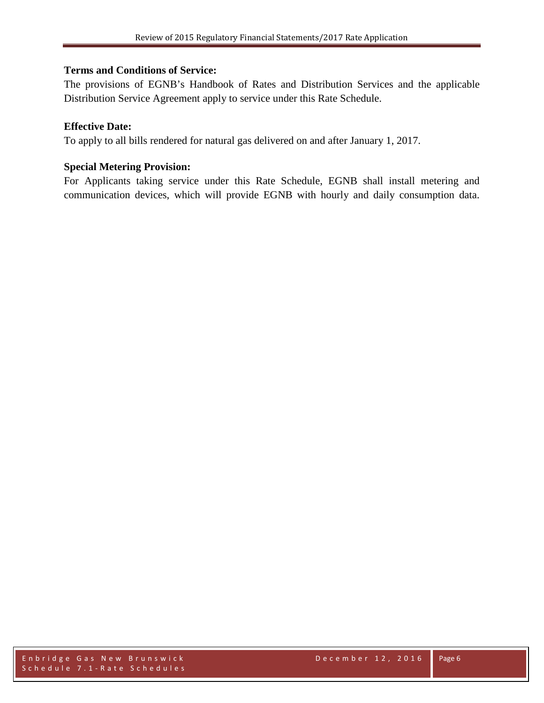## **Terms and Conditions of Service:**

The provisions of EGNB's Handbook of Rates and Distribution Services and the applicable Distribution Service Agreement apply to service under this Rate Schedule.

## **Effective Date:**

To apply to all bills rendered for natural gas delivered on and after January 1, 2017.

## **Special Metering Provision:**

For Applicants taking service under this Rate Schedule, EGNB shall install metering and communication devices, which will provide EGNB with hourly and daily consumption data.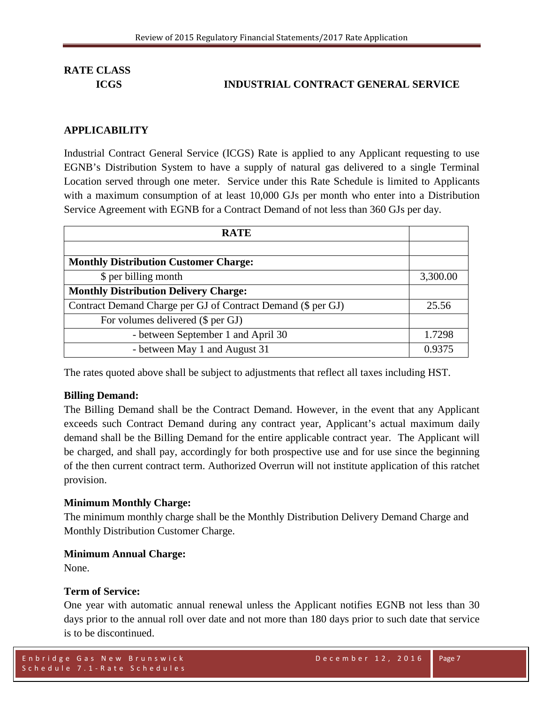## **ICGS INDUSTRIAL CONTRACT GENERAL SERVICE**

#### **APPLICABILITY**

Industrial Contract General Service (ICGS) Rate is applied to any Applicant requesting to use EGNB's Distribution System to have a supply of natural gas delivered to a single Terminal Location served through one meter. Service under this Rate Schedule is limited to Applicants with a maximum consumption of at least 10,000 GJs per month who enter into a Distribution Service Agreement with EGNB for a Contract Demand of not less than 360 GJs per day.

| <b>RATE</b>                                                  |          |
|--------------------------------------------------------------|----------|
|                                                              |          |
| <b>Monthly Distribution Customer Charge:</b>                 |          |
| \$ per billing month                                         | 3,300.00 |
| <b>Monthly Distribution Delivery Charge:</b>                 |          |
| Contract Demand Charge per GJ of Contract Demand (\$ per GJ) | 25.56    |
| For volumes delivered (\$ per GJ)                            |          |
| - between September 1 and April 30                           | 1.7298   |
| - between May 1 and August 31                                | 0.9375   |

The rates quoted above shall be subject to adjustments that reflect all taxes including HST.

#### **Billing Demand:**

The Billing Demand shall be the Contract Demand. However, in the event that any Applicant exceeds such Contract Demand during any contract year, Applicant's actual maximum daily demand shall be the Billing Demand for the entire applicable contract year. The Applicant will be charged, and shall pay, accordingly for both prospective use and for use since the beginning of the then current contract term. Authorized Overrun will not institute application of this ratchet provision.

#### **Minimum Monthly Charge:**

The minimum monthly charge shall be the Monthly Distribution Delivery Demand Charge and Monthly Distribution Customer Charge.

#### **Minimum Annual Charge:**

None.

#### **Term of Service:**

One year with automatic annual renewal unless the Applicant notifies EGNB not less than 30 days prior to the annual roll over date and not more than 180 days prior to such date that service is to be discontinued.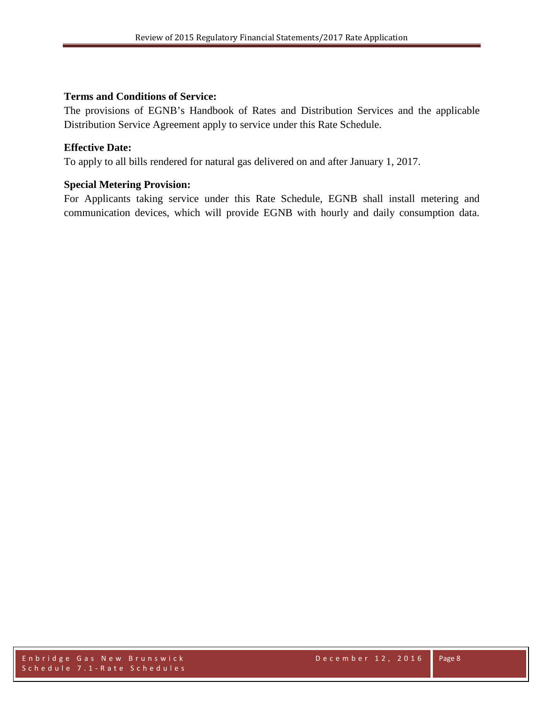## **Terms and Conditions of Service:**

The provisions of EGNB's Handbook of Rates and Distribution Services and the applicable Distribution Service Agreement apply to service under this Rate Schedule.

## **Effective Date:**

To apply to all bills rendered for natural gas delivered on and after January 1, 2017.

## **Special Metering Provision:**

For Applicants taking service under this Rate Schedule, EGNB shall install metering and communication devices, which will provide EGNB with hourly and daily consumption data.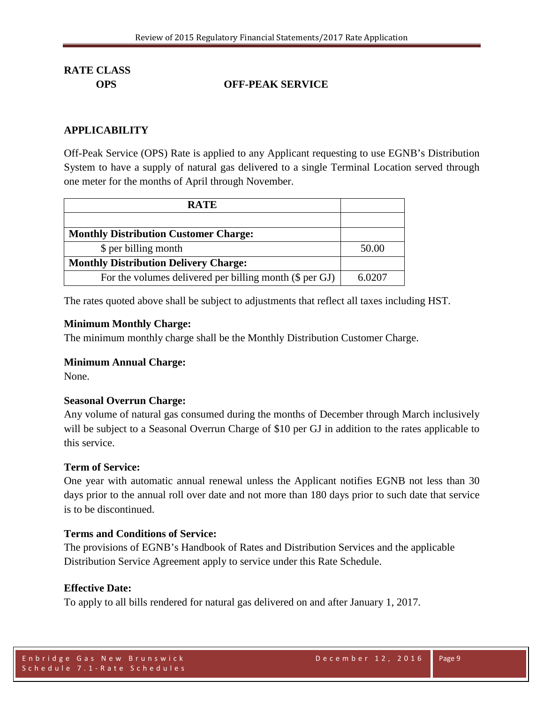## **OPS OFF-PEAK SERVICE**

## **APPLICABILITY**

Off-Peak Service (OPS) Rate is applied to any Applicant requesting to use EGNB's Distribution System to have a supply of natural gas delivered to a single Terminal Location served through one meter for the months of April through November.

| <b>RATE</b>                                             |        |
|---------------------------------------------------------|--------|
|                                                         |        |
| <b>Monthly Distribution Customer Charge:</b>            |        |
| \$ per billing month                                    | 50.00  |
| <b>Monthly Distribution Delivery Charge:</b>            |        |
| For the volumes delivered per billing month (\$ per GJ) | 6.0207 |

The rates quoted above shall be subject to adjustments that reflect all taxes including HST.

#### **Minimum Monthly Charge:**

The minimum monthly charge shall be the Monthly Distribution Customer Charge.

## **Minimum Annual Charge:**

None.

## **Seasonal Overrun Charge:**

Any volume of natural gas consumed during the months of December through March inclusively will be subject to a Seasonal Overrun Charge of \$10 per GJ in addition to the rates applicable to this service.

#### **Term of Service:**

One year with automatic annual renewal unless the Applicant notifies EGNB not less than 30 days prior to the annual roll over date and not more than 180 days prior to such date that service is to be discontinued.

## **Terms and Conditions of Service:**

The provisions of EGNB's Handbook of Rates and Distribution Services and the applicable Distribution Service Agreement apply to service under this Rate Schedule.

#### **Effective Date:**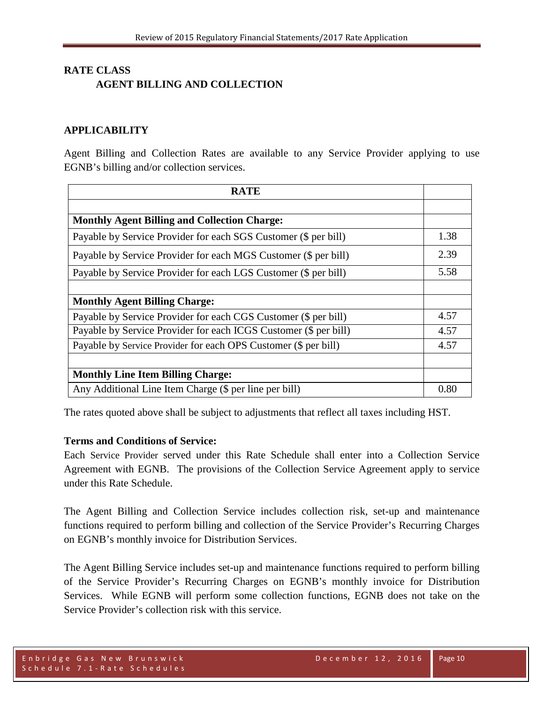## **RATE CLASS AGENT BILLING AND COLLECTION**

## **APPLICABILITY**

Agent Billing and Collection Rates are available to any Service Provider applying to use EGNB's billing and/or collection services.

| <b>RATE</b>                                                      |      |
|------------------------------------------------------------------|------|
|                                                                  |      |
| <b>Monthly Agent Billing and Collection Charge:</b>              |      |
| Payable by Service Provider for each SGS Customer (\$ per bill)  | 1.38 |
| Payable by Service Provider for each MGS Customer (\$ per bill)  | 2.39 |
| Payable by Service Provider for each LGS Customer (\$ per bill)  | 5.58 |
|                                                                  |      |
| <b>Monthly Agent Billing Charge:</b>                             |      |
| Payable by Service Provider for each CGS Customer (\$ per bill)  | 4.57 |
| Payable by Service Provider for each ICGS Customer (\$ per bill) | 4.57 |
| Payable by Service Provider for each OPS Customer (\$ per bill)  | 4.57 |
|                                                                  |      |
| <b>Monthly Line Item Billing Charge:</b>                         |      |
| Any Additional Line Item Charge (\$ per line per bill)           | 0.80 |

The rates quoted above shall be subject to adjustments that reflect all taxes including HST.

## **Terms and Conditions of Service:**

Each Service Provider served under this Rate Schedule shall enter into a Collection Service Agreement with EGNB. The provisions of the Collection Service Agreement apply to service under this Rate Schedule.

The Agent Billing and Collection Service includes collection risk, set-up and maintenance functions required to perform billing and collection of the Service Provider's Recurring Charges on EGNB's monthly invoice for Distribution Services.

The Agent Billing Service includes set-up and maintenance functions required to perform billing of the Service Provider's Recurring Charges on EGNB's monthly invoice for Distribution Services. While EGNB will perform some collection functions, EGNB does not take on the Service Provider's collection risk with this service.